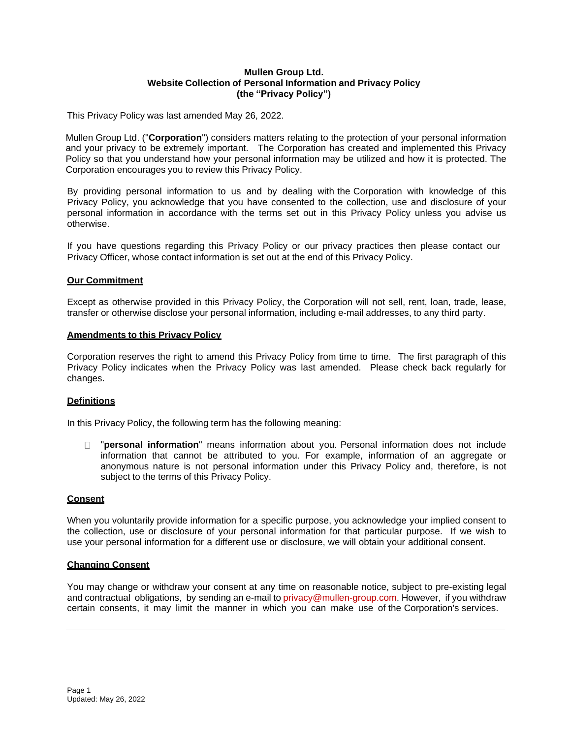### **Mullen Group Ltd. Website Collection of Personal Information and Privacy Policy (the "Privacy Policy")**

This Privacy Policy was last amended May 26, 2022.

Mullen Group Ltd. ("**Corporation**") considers matters relating to the protection of your personal information and your privacy to be extremely important. The Corporation has created and implemented this Privacy Policy so that you understand how your personal information may be utilized and how it is protected. The Corporation encourages you to review this Privacy Policy.

By providing personal information to us and by dealing with the Corporation with knowledge of this Privacy Policy, you acknowledge that you have consented to the collection, use and disclosure of your personal information in accordance with the terms set out in this Privacy Policy unless you advise us otherwise.

If you have questions regarding this Privacy Policy or our privacy practices then please contact our Privacy Officer, whose contact information is set out at the end of this Privacy Policy.

### **Our Commitment**

Except as otherwise provided in this Privacy Policy, the Corporation will not sell, rent, loan, trade, lease, transfer or otherwise disclose your personal information, including e-mail addresses, to any third party.

### **Amendments to this Privacy Policy**

Corporation reserves the right to amend this Privacy Policy from time to time. The first paragraph of this Privacy Policy indicates when the Privacy Policy was last amended. Please check back regularly for changes.

### **Definitions**

In this Privacy Policy, the following term has the following meaning:

"**personal information**" means information about you. Personal information does not include information that cannot be attributed to you. For example, information of an aggregate or anonymous nature is not personal information under this Privacy Policy and, therefore, is not subject to the terms of this Privacy Policy.

### **Consent**

When you voluntarily provide information for a specific purpose, you acknowledge your implied consent to the collection, use or disclosure of your personal information for that particular purpose. If we wish to use your personal information for a different use or disclosure, we will obtain your additional consent.

### **Changing Consent**

You may change or withdraw your consent at any time on reasonable notice, subject to pre-existing legal and contractual obligations, by sending an e-mail to privacy@mullen-group.com. However, if you withdraw certain consents, it may limit the manner in which you can make use of the Corporation's services.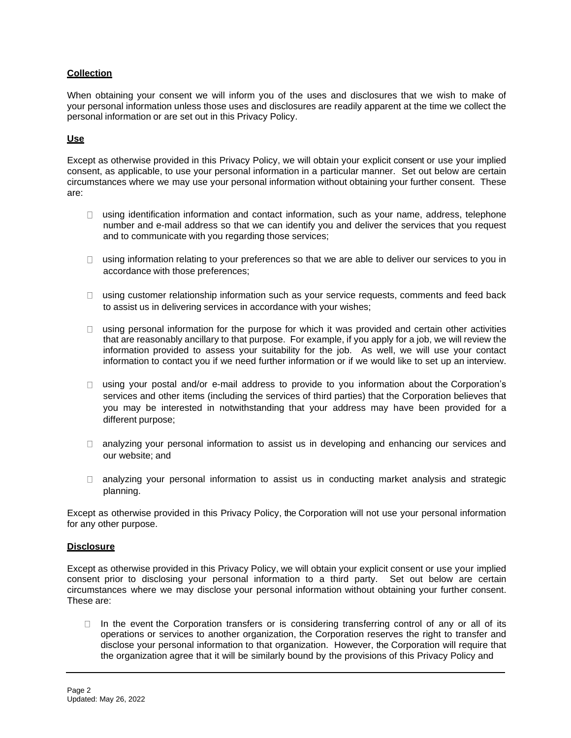# **Collection**

When obtaining your consent we will inform you of the uses and disclosures that we wish to make of your personal information unless those uses and disclosures are readily apparent at the time we collect the personal information or are set out in this Privacy Policy.

## **Use**

Except as otherwise provided in this Privacy Policy, we will obtain your explicit consent or use your implied consent, as applicable, to use your personal information in a particular manner. Set out below are certain circumstances where we may use your personal information without obtaining your further consent. These are:

- □ using identification information and contact information, such as your name, address, telephone number and e-mail address so that we can identify you and deliver the services that you request and to communicate with you regarding those services;
- $\Box$  using information relating to your preferences so that we are able to deliver our services to you in accordance with those preferences;
- $\Box$  using customer relationship information such as your service requests, comments and feed back to assist us in delivering services in accordance with your wishes;
- $\Box$  using personal information for the purpose for which it was provided and certain other activities that are reasonably ancillary to that purpose. For example, if you apply for a job, we will review the information provided to assess your suitability for the job. As well, we will use your contact information to contact you if we need further information or if we would like to set up an interview.
- □ using your postal and/or e-mail address to provide to you information about the Corporation's services and other items (including the services of third parties) that the Corporation believes that you may be interested in notwithstanding that your address may have been provided for a different purpose;
- □ analyzing your personal information to assist us in developing and enhancing our services and our website; and
- $\Box$  analyzing your personal information to assist us in conducting market analysis and strategic planning.

Except as otherwise provided in this Privacy Policy, the Corporation will not use your personal information for any other purpose.

### **Disclosure**

Except as otherwise provided in this Privacy Policy, we will obtain your explicit consent or use your implied consent prior to disclosing your personal information to a third party. Set out below are certain circumstances where we may disclose your personal information without obtaining your further consent. These are:

 $\Box$  In the event the Corporation transfers or is considering transferring control of any or all of its operations or services to another organization, the Corporation reserves the right to transfer and disclose your personal information to that organization. However, the Corporation will require that the organization agree that it will be similarly bound by the provisions of this Privacy Policy and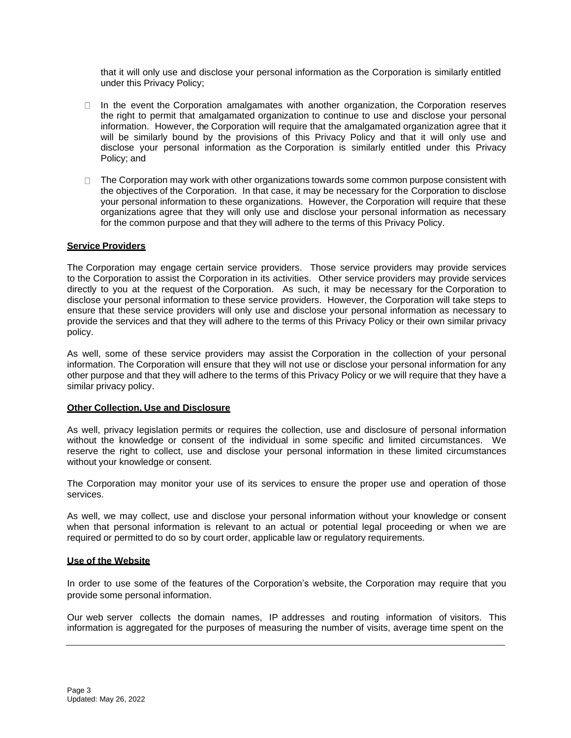that it will only use and disclose your personal information as the Corporation is similarly entitled under this Privacy Policy;

- $\Box$  In the event the Corporation amalgamates with another organization, the Corporation reserves the right to permit that amalgamated organization to continue to use and disclose your personal information. However, the Corporation will require that the amalgamated organization agree that it will be similarly bound by the provisions of this Privacy Policy and that it will only use and disclose your personal information as the Corporation is similarly entitled under this Privacy Policy; and
- $\Box$  The Corporation may work with other organizations towards some common purpose consistent with the objectives of the Corporation. In that case, it may be necessary for the Corporation to disclose your personal information to these organizations. However, the Corporation will require that these organizations agree that they will only use and disclose your personal information as necessary for the common purpose and that they will adhere to the terms of this Privacy Policy.

### **Service Providers**

The Corporation may engage certain service providers. Those service providers may provide services to the Corporation to assist the Corporation in its activities. Other service providers may provide services directly to you at the request of the Corporation. As such, it may be necessary for the Corporation to disclose your personal information to these service providers. However, the Corporation will take steps to ensure that these service providers will only use and disclose your personal information as necessary to provide the services and that they will adhere to the terms of this Privacy Policy or their own similar privacy policy.

As well, some of these service providers may assist the Corporation in the collection of your personal information. The Corporation will ensure that they will not use or disclose your personal information for any other purpose and that they will adhere to the terms of this Privacy Policy or we will require that they have a similar privacy policy.

### **Other Collection, Use and Disclosure**

As well, privacy legislation permits or requires the collection, use and disclosure of personal information without the knowledge or consent of the individual in some specific and limited circumstances. We reserve the right to collect, use and disclose your personal information in these limited circumstances without your knowledge or consent.

The Corporation may monitor your use of its services to ensure the proper use and operation of those services.

As well, we may collect, use and disclose your personal information without your knowledge or consent when that personal information is relevant to an actual or potential legal proceeding or when we are required or permitted to do so by court order, applicable law or regulatory requirements.

### **Use of the Website**

In order to use some of the features of the Corporation's website, the Corporation may require that you provide some personal information.

Our web server collects the domain names, IP addresses and routing information of visitors. This information is aggregated for the purposes of measuring the number of visits, average time spent on the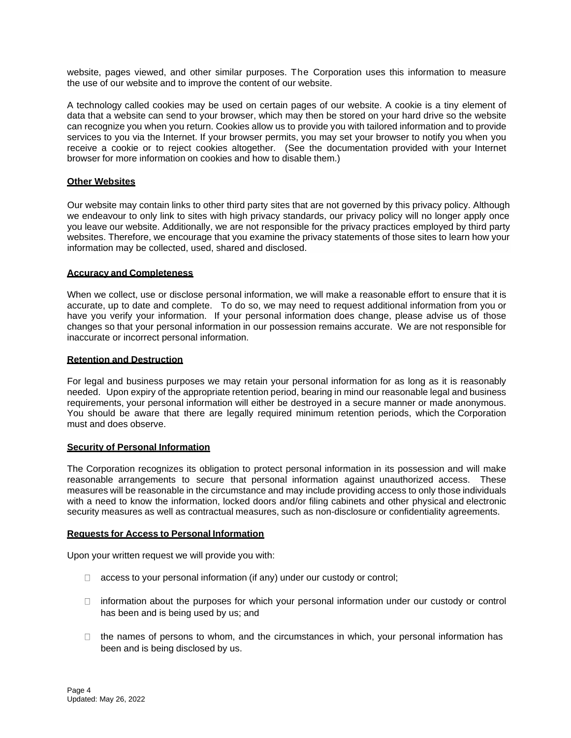website, pages viewed, and other similar purposes. The Corporation uses this information to measure the use of our website and to improve the content of our website.

A technology called cookies may be used on certain pages of our website. A cookie is a tiny element of data that a website can send to your browser, which may then be stored on your hard drive so the website can recognize you when you return. Cookies allow us to provide you with tailored information and to provide services to you via the Internet. If your browser permits, you may set your browser to notify you when you receive a cookie or to reject cookies altogether. (See the documentation provided with your Internet browser for more information on cookies and how to disable them.)

### **Other Websites**

Our website may contain links to other third party sites that are not governed by this privacy policy. Although we endeavour to only link to sites with high privacy standards, our privacy policy will no longer apply once you leave our website. Additionally, we are not responsible for the privacy practices employed by third party websites. Therefore, we encourage that you examine the privacy statements of those sites to learn how your information may be collected, used, shared and disclosed.

## **Accuracy and Completeness**

When we collect, use or disclose personal information, we will make a reasonable effort to ensure that it is accurate, up to date and complete. To do so, we may need to request additional information from you or have you verify your information. If your personal information does change, please advise us of those changes so that your personal information in our possession remains accurate. We are not responsible for inaccurate or incorrect personal information.

## **Retention and Destruction**

For legal and business purposes we may retain your personal information for as long as it is reasonably needed. Upon expiry of the appropriate retention period, bearing in mind our reasonable legal and business requirements, your personal information will either be destroyed in a secure manner or made anonymous. You should be aware that there are legally required minimum retention periods, which the Corporation must and does observe.

### **Security of Personal Information**

The Corporation recognizes its obligation to protect personal information in its possession and will make reasonable arrangements to secure that personal information against unauthorized access. These measures will be reasonable in the circumstance and may include providing access to only those individuals with a need to know the information, locked doors and/or filing cabinets and other physical and electronic security measures as well as contractual measures, such as non-disclosure or confidentiality agreements.

### **Requests for Access to Personal Information**

Upon your written request we will provide you with:

- $\Box$  access to your personal information (if any) under our custody or control;
- $\Box$  information about the purposes for which your personal information under our custody or control has been and is being used by us; and
- $\Box$  the names of persons to whom, and the circumstances in which, your personal information has been and is being disclosed by us.